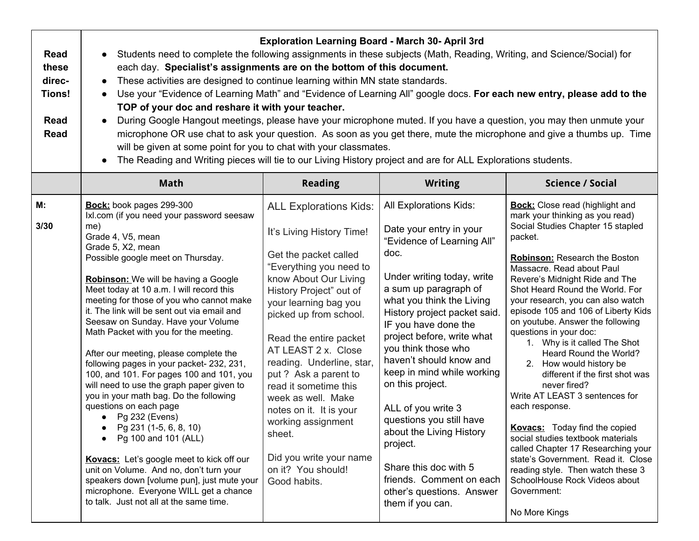| <b>Read</b><br>these<br>direc-<br><b>Tions!</b><br><b>Read</b><br><b>Read</b> | <b>Exploration Learning Board - March 30- April 3rd</b><br>Students need to complete the following assignments in these subjects (Math, Reading, Writing, and Science/Social) for<br>$\bullet$<br>each day. Specialist's assignments are on the bottom of this document.<br>These activities are designed to continue learning within MN state standards.<br>$\bullet$<br>Use your "Evidence of Learning Math" and "Evidence of Learning All" google docs. For each new entry, please add to the<br>$\bullet$<br>TOP of your doc and reshare it with your teacher.<br>During Google Hangout meetings, please have your microphone muted. If you have a question, you may then unmute your<br>$\bullet$<br>microphone OR use chat to ask your question. As soon as you get there, mute the microphone and give a thumbs up. Time<br>will be given at some point for you to chat with your classmates.<br>The Reading and Writing pieces will tie to our Living History project and are for ALL Explorations students.<br>$\bullet$ |                                                                                                                                                                                                                                                                                                                                                                                                                                                                                                         |                                                                                                                                                                                                                                                                                                                                                                                                                                                                                                                                                                       |                                                                                                                                                                                                                                                                                                                                                                                                                                                                                                                                                                                                                                                                                                                                                                                                                                                                   |  |
|-------------------------------------------------------------------------------|-----------------------------------------------------------------------------------------------------------------------------------------------------------------------------------------------------------------------------------------------------------------------------------------------------------------------------------------------------------------------------------------------------------------------------------------------------------------------------------------------------------------------------------------------------------------------------------------------------------------------------------------------------------------------------------------------------------------------------------------------------------------------------------------------------------------------------------------------------------------------------------------------------------------------------------------------------------------------------------------------------------------------------------|---------------------------------------------------------------------------------------------------------------------------------------------------------------------------------------------------------------------------------------------------------------------------------------------------------------------------------------------------------------------------------------------------------------------------------------------------------------------------------------------------------|-----------------------------------------------------------------------------------------------------------------------------------------------------------------------------------------------------------------------------------------------------------------------------------------------------------------------------------------------------------------------------------------------------------------------------------------------------------------------------------------------------------------------------------------------------------------------|-------------------------------------------------------------------------------------------------------------------------------------------------------------------------------------------------------------------------------------------------------------------------------------------------------------------------------------------------------------------------------------------------------------------------------------------------------------------------------------------------------------------------------------------------------------------------------------------------------------------------------------------------------------------------------------------------------------------------------------------------------------------------------------------------------------------------------------------------------------------|--|
|                                                                               | <b>Math</b>                                                                                                                                                                                                                                                                                                                                                                                                                                                                                                                                                                                                                                                                                                                                                                                                                                                                                                                                                                                                                       | <b>Reading</b>                                                                                                                                                                                                                                                                                                                                                                                                                                                                                          | <b>Writing</b>                                                                                                                                                                                                                                                                                                                                                                                                                                                                                                                                                        | <b>Science / Social</b>                                                                                                                                                                                                                                                                                                                                                                                                                                                                                                                                                                                                                                                                                                                                                                                                                                           |  |
| М:<br>3/30                                                                    | Bock: book pages 299-300<br>Ixl.com (if you need your password seesaw<br>me)<br>Grade 4, V5, mean<br>Grade 5, X2, mean<br>Possible google meet on Thursday.<br><b>Robinson:</b> We will be having a Google<br>Meet today at 10 a.m. I will record this<br>meeting for those of you who cannot make<br>it. The link will be sent out via email and<br>Seesaw on Sunday. Have your Volume<br>Math Packet with you for the meeting.<br>After our meeting, please complete the<br>following pages in your packet-232, 231,<br>100, and 101. For pages 100 and 101, you<br>will need to use the graph paper given to<br>you in your math bag. Do the following<br>questions on each page<br>Pg 232 (Evens)<br>Pg 231 (1-5, 6, 8, 10)<br>Pg 100 and 101 (ALL)<br>Kovacs: Let's google meet to kick off our<br>unit on Volume. And no, don't turn your<br>speakers down [volume pun], just mute your<br>microphone. Everyone WILL get a chance<br>to talk. Just not all at the same time.                                                | <b>ALL Explorations Kids:</b><br>It's Living History Time!<br>Get the packet called<br>"Everything you need to<br>know About Our Living<br>History Project" out of<br>your learning bag you<br>picked up from school.<br>Read the entire packet<br>AT LEAST 2 x. Close<br>reading. Underline, star,<br>put ? Ask a parent to<br>read it sometime this<br>week as well. Make<br>notes on it. It is your<br>working assignment<br>sheet.<br>Did you write your name<br>on it? You should!<br>Good habits. | All Explorations Kids:<br>Date your entry in your<br>"Evidence of Learning All"<br>doc.<br>Under writing today, write<br>a sum up paragraph of<br>what you think the Living<br>History project packet said.<br>IF you have done the<br>project before, write what<br>you think those who<br>haven't should know and<br>keep in mind while working<br>on this project.<br>ALL of you write 3<br>questions you still have<br>about the Living History<br>project.<br>Share this doc with 5<br>friends. Comment on each<br>other's questions. Answer<br>them if you can. | <b>Bock:</b> Close read (highlight and<br>mark your thinking as you read)<br>Social Studies Chapter 15 stapled<br>packet.<br>Robinson: Research the Boston<br>Massacre. Read about Paul<br>Revere's Midnight Ride and The<br>Shot Heard Round the World. For<br>your research, you can also watch<br>episode 105 and 106 of Liberty Kids<br>on youtube. Answer the following<br>questions in your doc:<br>1. Why is it called The Shot<br>Heard Round the World?<br>2. How would history be<br>different if the first shot was<br>never fired?<br>Write AT LEAST 3 sentences for<br>each response.<br><b>Kovacs:</b> Today find the copied<br>social studies textbook materials<br>called Chapter 17 Researching your<br>state's Government. Read it. Close<br>reading style. Then watch these 3<br>SchoolHouse Rock Videos about<br>Government:<br>No More Kings |  |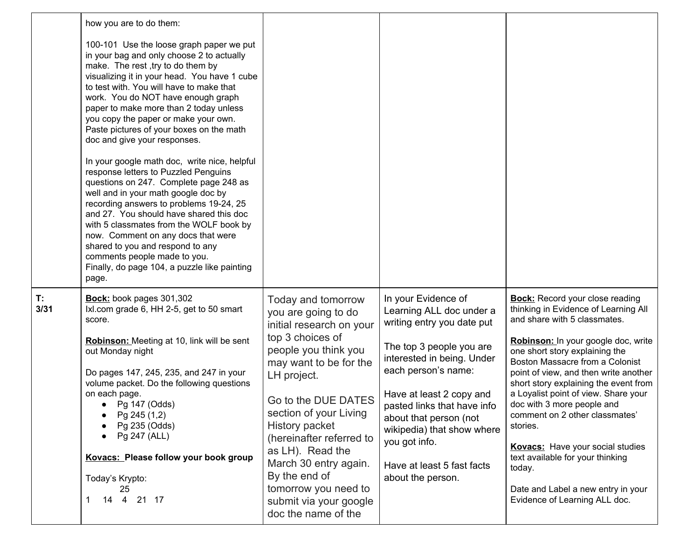|            | how you are to do them:                                                                                                                                                                                                                                                                                                                                                                                                                                                   |                                                                       |                                                                               |                                                                                                                |
|------------|---------------------------------------------------------------------------------------------------------------------------------------------------------------------------------------------------------------------------------------------------------------------------------------------------------------------------------------------------------------------------------------------------------------------------------------------------------------------------|-----------------------------------------------------------------------|-------------------------------------------------------------------------------|----------------------------------------------------------------------------------------------------------------|
|            | 100-101 Use the loose graph paper we put<br>in your bag and only choose 2 to actually<br>make. The rest, try to do them by<br>visualizing it in your head. You have 1 cube<br>to test with. You will have to make that<br>work. You do NOT have enough graph<br>paper to make more than 2 today unless<br>you copy the paper or make your own.<br>Paste pictures of your boxes on the math<br>doc and give your responses.                                                |                                                                       |                                                                               |                                                                                                                |
|            | In your google math doc, write nice, helpful<br>response letters to Puzzled Penguins<br>questions on 247. Complete page 248 as<br>well and in your math google doc by<br>recording answers to problems 19-24, 25<br>and 27. You should have shared this doc<br>with 5 classmates from the WOLF book by<br>now. Comment on any docs that were<br>shared to you and respond to any<br>comments people made to you.<br>Finally, do page 104, a puzzle like painting<br>page. |                                                                       |                                                                               |                                                                                                                |
| T:<br>3/31 | Bock: book pages 301,302<br>Ixl.com grade 6, HH 2-5, get to 50 smart<br>score.                                                                                                                                                                                                                                                                                                                                                                                            | Today and tomorrow<br>you are going to do                             | In your Evidence of<br>Learning ALL doc under a<br>writing entry you date put | <b>Bock:</b> Record your close reading<br>thinking in Evidence of Learning All<br>and share with 5 classmates. |
|            | Robinson: Meeting at 10, link will be sent                                                                                                                                                                                                                                                                                                                                                                                                                                | initial research on your<br>top 3 choices of                          |                                                                               | Robinson: In your google doc, write                                                                            |
|            | out Monday night                                                                                                                                                                                                                                                                                                                                                                                                                                                          | people you think you<br>may want to be for the                        | The top 3 people you are<br>interested in being. Under                        | one short story explaining the<br>Boston Massacre from a Colonist                                              |
|            | Do pages 147, 245, 235, and 247 in your<br>volume packet. Do the following questions                                                                                                                                                                                                                                                                                                                                                                                      | LH project.                                                           | each person's name:                                                           | point of view, and then write another<br>short story explaining the event from                                 |
|            | on each page.<br>• Pg 147 (Odds)                                                                                                                                                                                                                                                                                                                                                                                                                                          | Go to the DUE DATES                                                   | Have at least 2 copy and<br>pasted links that have info                       | a Loyalist point of view. Share your<br>doc with 3 more people and                                             |
|            | Pg 245 (1,2)<br>Pg 235 (Odds)                                                                                                                                                                                                                                                                                                                                                                                                                                             | section of your Living<br>History packet                              | about that person (not                                                        | comment on 2 other classmates'<br>stories.                                                                     |
|            | Pg 247 (ALL)                                                                                                                                                                                                                                                                                                                                                                                                                                                              | (hereinafter referred to                                              | wikipedia) that show where<br>you got info.                                   |                                                                                                                |
|            | Kovacs: Please follow your book group                                                                                                                                                                                                                                                                                                                                                                                                                                     | as LH). Read the<br>March 30 entry again.                             | Have at least 5 fast facts                                                    | <b>Kovacs:</b> Have your social studies<br>text available for your thinking<br>today.                          |
|            | Today's Krypto:                                                                                                                                                                                                                                                                                                                                                                                                                                                           | By the end of                                                         | about the person.                                                             |                                                                                                                |
|            | 25<br>14  4  21  17                                                                                                                                                                                                                                                                                                                                                                                                                                                       | tomorrow you need to<br>submit via your google<br>doc the name of the |                                                                               | Date and Label a new entry in your<br>Evidence of Learning ALL doc.                                            |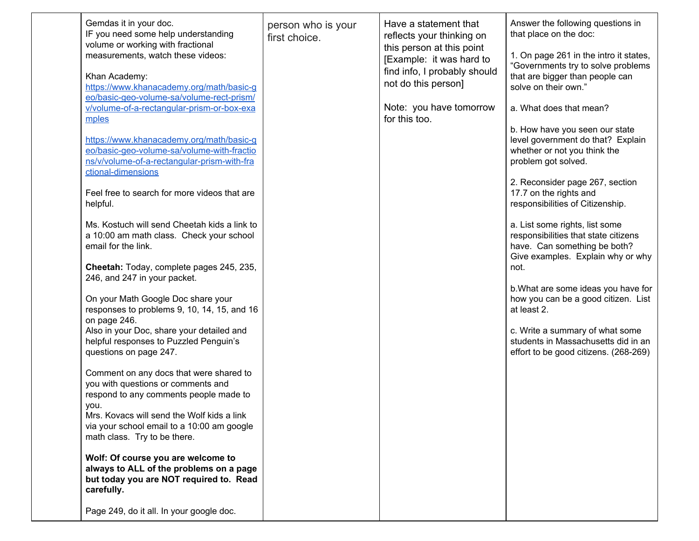| Gemdas it in your doc.<br>IF you need some help understanding<br>volume or working with fractional<br>measurements, watch these videos:<br>Khan Academy:<br>https://www.khanacademy.org/math/basic-g<br>eo/basic-geo-volume-sa/volume-rect-prism/<br>v/volume-of-a-rectangular-prism-or-box-exa<br>mples<br>https://www.khanacademy.org/math/basic-g<br>eo/basic-geo-volume-sa/volume-with-fractio<br>ns/v/volume-of-a-rectangular-prism-with-fra<br>ctional-dimensions<br>Feel free to search for more videos that are<br>helpful.<br>Ms. Kostuch will send Cheetah kids a link to<br>a 10:00 am math class. Check your school<br>email for the link.<br>Cheetah: Today, complete pages 245, 235,<br>246, and 247 in your packet.<br>On your Math Google Doc share your<br>responses to problems 9, 10, 14, 15, and 16<br>on page 246.<br>Also in your Doc, share your detailed and<br>helpful responses to Puzzled Penguin's<br>questions on page 247.<br>Comment on any docs that were shared to<br>you with questions or comments and<br>respond to any comments people made to<br>vou.<br>Mrs. Kovacs will send the Wolf kids a link<br>via your school email to a 10:00 am google<br>math class. Try to be there. | person who is your<br>first choice. | Have a statement that<br>reflects your thinking on<br>this person at this point<br>[Example: it was hard to<br>find info, I probably should<br>not do this person]<br>Note: you have tomorrow<br>for this too. | Answer the following questions in<br>that place on the doc:<br>1. On page 261 in the intro it states,<br>"Governments try to solve problems<br>that are bigger than people can<br>solve on their own."<br>a. What does that mean?<br>b. How have you seen our state<br>level government do that? Explain<br>whether or not you think the<br>problem got solved.<br>2. Reconsider page 267, section<br>17.7 on the rights and<br>responsibilities of Citizenship.<br>a. List some rights, list some<br>responsibilities that state citizens<br>have. Can something be both?<br>Give examples. Explain why or why<br>not.<br>b. What are some ideas you have for<br>how you can be a good citizen. List<br>at least 2.<br>c. Write a summary of what some<br>students in Massachusetts did in an<br>effort to be good citizens. (268-269) |
|-------------------------------------------------------------------------------------------------------------------------------------------------------------------------------------------------------------------------------------------------------------------------------------------------------------------------------------------------------------------------------------------------------------------------------------------------------------------------------------------------------------------------------------------------------------------------------------------------------------------------------------------------------------------------------------------------------------------------------------------------------------------------------------------------------------------------------------------------------------------------------------------------------------------------------------------------------------------------------------------------------------------------------------------------------------------------------------------------------------------------------------------------------------------------------------------------------------------------|-------------------------------------|----------------------------------------------------------------------------------------------------------------------------------------------------------------------------------------------------------------|-----------------------------------------------------------------------------------------------------------------------------------------------------------------------------------------------------------------------------------------------------------------------------------------------------------------------------------------------------------------------------------------------------------------------------------------------------------------------------------------------------------------------------------------------------------------------------------------------------------------------------------------------------------------------------------------------------------------------------------------------------------------------------------------------------------------------------------------|
| Wolf: Of course you are welcome to<br>always to ALL of the problems on a page<br>but today you are NOT required to. Read<br>carefully.<br>Page 249, do it all. In your google doc.                                                                                                                                                                                                                                                                                                                                                                                                                                                                                                                                                                                                                                                                                                                                                                                                                                                                                                                                                                                                                                      |                                     |                                                                                                                                                                                                                |                                                                                                                                                                                                                                                                                                                                                                                                                                                                                                                                                                                                                                                                                                                                                                                                                                         |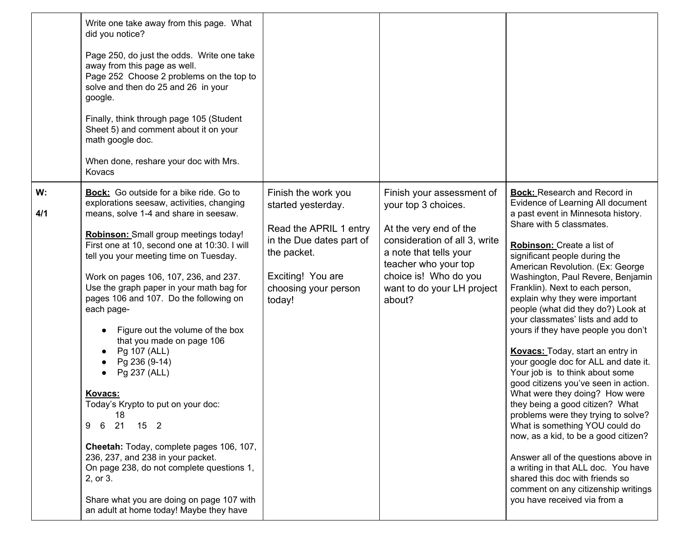|           | Write one take away from this page. What<br>did you notice?<br>Page 250, do just the odds. Write one take<br>away from this page as well.<br>Page 252 Choose 2 problems on the top to<br>solve and then do 25 and 26 in your<br>google.<br>Finally, think through page 105 (Student<br>Sheet 5) and comment about it on your<br>math google doc.<br>When done, reshare your doc with Mrs.<br>Kovacs                                                                                                                                                                                                                                                                                                                                                                                                                                                                            |                                                                                                                                                                       |                                                                                                                                                                                                                                |                                                                                                                                                                                                                                                                                                                                                                                                                                                                                                                                                                                                                                                                                                                                                                                                                                                                                                                                                                                                                  |
|-----------|--------------------------------------------------------------------------------------------------------------------------------------------------------------------------------------------------------------------------------------------------------------------------------------------------------------------------------------------------------------------------------------------------------------------------------------------------------------------------------------------------------------------------------------------------------------------------------------------------------------------------------------------------------------------------------------------------------------------------------------------------------------------------------------------------------------------------------------------------------------------------------|-----------------------------------------------------------------------------------------------------------------------------------------------------------------------|--------------------------------------------------------------------------------------------------------------------------------------------------------------------------------------------------------------------------------|------------------------------------------------------------------------------------------------------------------------------------------------------------------------------------------------------------------------------------------------------------------------------------------------------------------------------------------------------------------------------------------------------------------------------------------------------------------------------------------------------------------------------------------------------------------------------------------------------------------------------------------------------------------------------------------------------------------------------------------------------------------------------------------------------------------------------------------------------------------------------------------------------------------------------------------------------------------------------------------------------------------|
| W:<br>4/1 | <b>Bock:</b> Go outside for a bike ride. Go to<br>explorations seesaw, activities, changing<br>means, solve 1-4 and share in seesaw.<br>Robinson: Small group meetings today!<br>First one at 10, second one at 10:30. I will<br>tell you your meeting time on Tuesday.<br>Work on pages 106, 107, 236, and 237.<br>Use the graph paper in your math bag for<br>pages 106 and 107. Do the following on<br>each page-<br>Figure out the volume of the box<br>that you made on page 106<br>Pg 107 (ALL)<br>$\bullet$<br>Pg 236 (9-14)<br>Pg 237 (ALL)<br>$\bullet$<br>Kovacs:<br>Today's Krypto to put on your doc:<br>18<br>21 15 2<br>6<br>9<br>Cheetah: Today, complete pages 106, 107,<br>236, 237, and 238 in your packet.<br>On page 238, do not complete questions 1,<br>2, or 3.<br>Share what you are doing on page 107 with<br>an adult at home today! Maybe they have | Finish the work you<br>started yesterday.<br>Read the APRIL 1 entry<br>in the Due dates part of<br>the packet.<br>Exciting! You are<br>choosing your person<br>today! | Finish your assessment of<br>your top 3 choices.<br>At the very end of the<br>consideration of all 3, write<br>a note that tells your<br>teacher who your top<br>choice is! Who do you<br>want to do your LH project<br>about? | <b>Bock:</b> Research and Record in<br>Evidence of Learning All document<br>a past event in Minnesota history.<br>Share with 5 classmates.<br>Robinson: Create a list of<br>significant people during the<br>American Revolution. (Ex: George<br>Washington, Paul Revere, Benjamin<br>Franklin). Next to each person,<br>explain why they were important<br>people (what did they do?) Look at<br>your classmates' lists and add to<br>yours if they have people you don't<br>Kovacs: Today, start an entry in<br>your google doc for ALL and date it.<br>Your job is to think about some<br>good citizens you've seen in action.<br>What were they doing? How were<br>they being a good citizen? What<br>problems were they trying to solve?<br>What is something YOU could do<br>now, as a kid, to be a good citizen?<br>Answer all of the questions above in<br>a writing in that ALL doc. You have<br>shared this doc with friends so<br>comment on any citizenship writings<br>you have received via from a |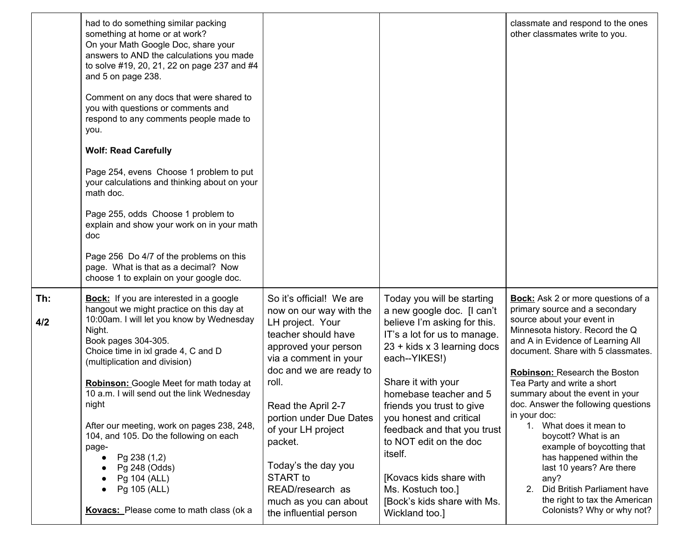|            | had to do something similar packing<br>something at home or at work?<br>On your Math Google Doc, share your<br>answers to AND the calculations you made<br>to solve #19, 20, 21, 22 on page 237 and #4<br>and 5 on page 238.<br>Comment on any docs that were shared to<br>you with questions or comments and<br>respond to any comments people made to<br>you.<br><b>Wolf: Read Carefully</b><br>Page 254, evens Choose 1 problem to put<br>your calculations and thinking about on your<br>math doc.<br>Page 255, odds Choose 1 problem to<br>explain and show your work on in your math<br>doc<br>Page 256 Do 4/7 of the problems on this<br>page. What is that as a decimal? Now<br>choose 1 to explain on your google doc. |                                                                                                                                                                                                                                                                                                                                                                                 |                                                                                                                                                                                                                                                                                                                                                                                                                                                       | classmate and respond to the ones<br>other classmates write to you.                                                                                                                                                                                                                                                                                                                                                                                                                                                                                                                                                                  |
|------------|---------------------------------------------------------------------------------------------------------------------------------------------------------------------------------------------------------------------------------------------------------------------------------------------------------------------------------------------------------------------------------------------------------------------------------------------------------------------------------------------------------------------------------------------------------------------------------------------------------------------------------------------------------------------------------------------------------------------------------|---------------------------------------------------------------------------------------------------------------------------------------------------------------------------------------------------------------------------------------------------------------------------------------------------------------------------------------------------------------------------------|-------------------------------------------------------------------------------------------------------------------------------------------------------------------------------------------------------------------------------------------------------------------------------------------------------------------------------------------------------------------------------------------------------------------------------------------------------|--------------------------------------------------------------------------------------------------------------------------------------------------------------------------------------------------------------------------------------------------------------------------------------------------------------------------------------------------------------------------------------------------------------------------------------------------------------------------------------------------------------------------------------------------------------------------------------------------------------------------------------|
| Th:<br>4/2 | <b>Bock:</b> If you are interested in a google<br>hangout we might practice on this day at<br>10:00am. I will let you know by Wednesday<br>Night.<br>Book pages 304-305.<br>Choice time in ixl grade 4, C and D<br>(multiplication and division)<br>Robinson: Google Meet for math today at<br>10 a.m. I will send out the link Wednesday<br>night<br>After our meeting, work on pages 238, 248,<br>104, and 105. Do the following on each<br>page-<br>Pg 238 (1,2)<br>Pg 248 (Odds)<br>Pg 104 (ALL)<br>Pg 105 (ALL)<br>Kovacs: Please come to math class (ok a                                                                                                                                                                 | So it's official! We are<br>now on our way with the<br>LH project. Your<br>teacher should have<br>approved your person<br>via a comment in your<br>doc and we are ready to<br>roll.<br>Read the April 2-7<br>portion under Due Dates<br>of your LH project<br>packet.<br>Today's the day you<br>START to<br>READ/research as<br>much as you can about<br>the influential person | Today you will be starting<br>a new google doc. [I can't<br>believe I'm asking for this.<br>IT's a lot for us to manage.<br>23 + kids x 3 learning docs<br>each--YIKES!)<br>Share it with your<br>homebase teacher and 5<br>friends you trust to give<br>you honest and critical<br>feedback and that you trust<br>to NOT edit on the doc<br>itself.<br>[Kovacs kids share with<br>Ms. Kostuch too.]<br>[Bock's kids share with Ms.<br>Wickland too.] | <b>Bock:</b> Ask 2 or more questions of a<br>primary source and a secondary<br>source about your event in<br>Minnesota history. Record the Q<br>and A in Evidence of Learning All<br>document. Share with 5 classmates.<br>Robinson: Research the Boston<br>Tea Party and write a short<br>summary about the event in your<br>doc. Answer the following questions<br>in your doc:<br>1. What does it mean to<br>boycott? What is an<br>example of boycotting that<br>has happened within the<br>last 10 years? Are there<br>any?<br>Did British Parliament have<br>2.<br>the right to tax the American<br>Colonists? Why or why not? |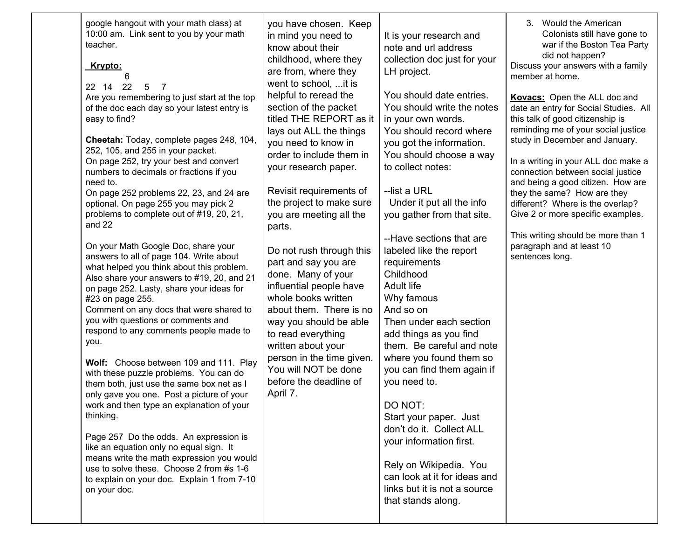| google hangout with your math class) at<br>10:00 am. Link sent to you by your math<br>teacher.<br>Krypto:<br>6<br>22 14 22<br>$\overline{7}$<br>-5<br>Are you remembering to just start at the top<br>of the doc each day so your latest entry is<br>easy to find?<br>Cheetah: Today, complete pages 248, 104,<br>252, 105, and 255 in your packet.<br>On page 252, try your best and convert<br>numbers to decimals or fractions if you<br>need to.<br>On page 252 problems 22, 23, and 24 are<br>optional. On page 255 you may pick 2<br>problems to complete out of #19, 20, 21,<br>and 22<br>On your Math Google Doc, share your<br>answers to all of page 104. Write about<br>what helped you think about this problem.<br>Also share your answers to #19, 20, and 21<br>on page 252. Lasty, share your ideas for<br>#23 on page 255.<br>Comment on any docs that were shared to<br>you with questions or comments and<br>respond to any comments people made to<br>you.<br>Wolf: Choose between 109 and 111. Play<br>with these puzzle problems. You can do<br>them both, just use the same box net as I<br>only gave you one. Post a picture of your<br>work and then type an explanation of your<br>thinking.<br>Page 257 Do the odds. An expression is<br>like an equation only no equal sign. It<br>means write the math expression you would | you have chosen. Keep<br>in mind you need to<br>know about their<br>childhood, where they<br>are from, where they<br>went to school,  it is<br>helpful to reread the<br>section of the packet<br>titled THE REPORT as it<br>lays out ALL the things<br>you need to know in<br>order to include them in<br>your research paper.<br>Revisit requirements of<br>the project to make sure<br>you are meeting all the<br>parts.<br>Do not rush through this<br>part and say you are<br>done. Many of your<br>influential people have<br>whole books written<br>about them. There is no<br>way you should be able<br>to read everything<br>written about your<br>person in the time given.<br>You will NOT be done<br>before the deadline of<br>April 7. | It is your research and<br>note and url address<br>collection doc just for your<br>LH project.<br>You should date entries.<br>You should write the notes<br>in your own words.<br>You should record where<br>you got the information.<br>You should choose a way<br>to collect notes:<br>--list a URL<br>Under it put all the info<br>you gather from that site.<br>--Have sections that are<br>labeled like the report<br>requirements<br>Childhood<br><b>Adult life</b><br>Why famous<br>And so on<br>Then under each section<br>add things as you find<br>them. Be careful and note<br>where you found them so<br>you can find them again if<br>you need to.<br>DO NOT:<br>Start your paper. Just<br>don't do it. Collect ALL<br>your information first.<br>Rely on Wikipedia. You | 3. Would the American<br>Colonists still have gone to<br>war if the Boston Tea Party<br>did not happen?<br>Discuss your answers with a family<br>member at home.<br>Kovacs: Open the ALL doc and<br>date an entry for Social Studies. All<br>this talk of good citizenship is<br>reminding me of your social justice<br>study in December and January.<br>In a writing in your ALL doc make a<br>connection between social justice<br>and being a good citizen. How are<br>they the same? How are they<br>different? Where is the overlap?<br>Give 2 or more specific examples.<br>This writing should be more than 1<br>paragraph and at least 10<br>sentences long. |
|---------------------------------------------------------------------------------------------------------------------------------------------------------------------------------------------------------------------------------------------------------------------------------------------------------------------------------------------------------------------------------------------------------------------------------------------------------------------------------------------------------------------------------------------------------------------------------------------------------------------------------------------------------------------------------------------------------------------------------------------------------------------------------------------------------------------------------------------------------------------------------------------------------------------------------------------------------------------------------------------------------------------------------------------------------------------------------------------------------------------------------------------------------------------------------------------------------------------------------------------------------------------------------------------------------------------------------------------------------|----------------------------------------------------------------------------------------------------------------------------------------------------------------------------------------------------------------------------------------------------------------------------------------------------------------------------------------------------------------------------------------------------------------------------------------------------------------------------------------------------------------------------------------------------------------------------------------------------------------------------------------------------------------------------------------------------------------------------------------------------|---------------------------------------------------------------------------------------------------------------------------------------------------------------------------------------------------------------------------------------------------------------------------------------------------------------------------------------------------------------------------------------------------------------------------------------------------------------------------------------------------------------------------------------------------------------------------------------------------------------------------------------------------------------------------------------------------------------------------------------------------------------------------------------|-----------------------------------------------------------------------------------------------------------------------------------------------------------------------------------------------------------------------------------------------------------------------------------------------------------------------------------------------------------------------------------------------------------------------------------------------------------------------------------------------------------------------------------------------------------------------------------------------------------------------------------------------------------------------|
| use to solve these. Choose 2 from #s 1-6<br>to explain on your doc. Explain 1 from 7-10<br>on your doc.                                                                                                                                                                                                                                                                                                                                                                                                                                                                                                                                                                                                                                                                                                                                                                                                                                                                                                                                                                                                                                                                                                                                                                                                                                                 |                                                                                                                                                                                                                                                                                                                                                                                                                                                                                                                                                                                                                                                                                                                                                    | can look at it for ideas and<br>links but it is not a source<br>that stands along.                                                                                                                                                                                                                                                                                                                                                                                                                                                                                                                                                                                                                                                                                                    |                                                                                                                                                                                                                                                                                                                                                                                                                                                                                                                                                                                                                                                                       |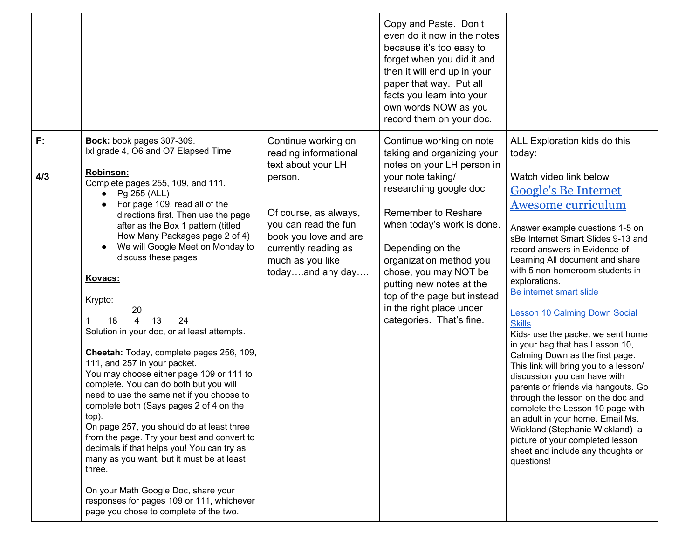|              |                                                                                                                                                                                                                                                                                                                                                                                                                                                                                                                                                                                                                                                                                                                                                                                                                                                                                                                                                                                                                                                                                                              |                                                                                                                                                                                                                         | Copy and Paste. Don't<br>even do it now in the notes<br>because it's too easy to<br>forget when you did it and<br>then it will end up in your<br>paper that way. Put all<br>facts you learn into your<br>own words NOW as you<br>record them on your doc.                                                                                                                           |                                                                                                                                                                                                                                                                                                                                                                                                                                                                                                                                                                                                                                                                                                                                                                                                                                                                              |
|--------------|--------------------------------------------------------------------------------------------------------------------------------------------------------------------------------------------------------------------------------------------------------------------------------------------------------------------------------------------------------------------------------------------------------------------------------------------------------------------------------------------------------------------------------------------------------------------------------------------------------------------------------------------------------------------------------------------------------------------------------------------------------------------------------------------------------------------------------------------------------------------------------------------------------------------------------------------------------------------------------------------------------------------------------------------------------------------------------------------------------------|-------------------------------------------------------------------------------------------------------------------------------------------------------------------------------------------------------------------------|-------------------------------------------------------------------------------------------------------------------------------------------------------------------------------------------------------------------------------------------------------------------------------------------------------------------------------------------------------------------------------------|------------------------------------------------------------------------------------------------------------------------------------------------------------------------------------------------------------------------------------------------------------------------------------------------------------------------------------------------------------------------------------------------------------------------------------------------------------------------------------------------------------------------------------------------------------------------------------------------------------------------------------------------------------------------------------------------------------------------------------------------------------------------------------------------------------------------------------------------------------------------------|
| $F$ :<br>4/3 | Bock: book pages 307-309.<br>Ixl grade 4, O6 and O7 Elapsed Time<br><b>Robinson:</b><br>Complete pages 255, 109, and 111.<br>Pg 255 (ALL)<br>$\bullet$<br>For page 109, read all of the<br>$\bullet$<br>directions first. Then use the page<br>after as the Box 1 pattern (titled<br>How Many Packages page 2 of 4)<br>We will Google Meet on Monday to<br>$\bullet$<br>discuss these pages<br>Kovacs:<br>Krypto:<br>20<br>$\overline{4}$<br>13<br>24<br>18<br>Solution in your doc, or at least attempts.<br>Cheetah: Today, complete pages 256, 109,<br>111, and 257 in your packet.<br>You may choose either page 109 or 111 to<br>complete. You can do both but you will<br>need to use the same net if you choose to<br>complete both (Says pages 2 of 4 on the<br>top).<br>On page 257, you should do at least three<br>from the page. Try your best and convert to<br>decimals if that helps you! You can try as<br>many as you want, but it must be at least<br>three.<br>On your Math Google Doc, share your<br>responses for pages 109 or 111, whichever<br>page you chose to complete of the two. | Continue working on<br>reading informational<br>text about your LH<br>person.<br>Of course, as always,<br>you can read the fun<br>book you love and are<br>currently reading as<br>much as you like<br>todayand any day | Continue working on note<br>taking and organizing your<br>notes on your LH person in<br>your note taking/<br>researching google doc<br>Remember to Reshare<br>when today's work is done.<br>Depending on the<br>organization method you<br>chose, you may NOT be<br>putting new notes at the<br>top of the page but instead<br>in the right place under<br>categories. That's fine. | ALL Exploration kids do this<br>today:<br>Watch video link below<br><b>Google's Be Internet</b><br>Awesome curriculum<br>Answer example questions 1-5 on<br>sBe Internet Smart Slides 9-13 and<br>record answers in Evidence of<br>Learning All document and share<br>with 5 non-homeroom students in<br>explorations.<br>Be internet smart slide<br><b>Lesson 10 Calming Down Social</b><br><b>Skills</b><br>Kids- use the packet we sent home<br>in your bag that has Lesson 10,<br>Calming Down as the first page.<br>This link will bring you to a lesson/<br>discussion you can have with<br>parents or friends via hangouts. Go<br>through the lesson on the doc and<br>complete the Lesson 10 page with<br>an adult in your home. Email Ms.<br>Wickland (Stephanie Wickland) a<br>picture of your completed lesson<br>sheet and include any thoughts or<br>questions! |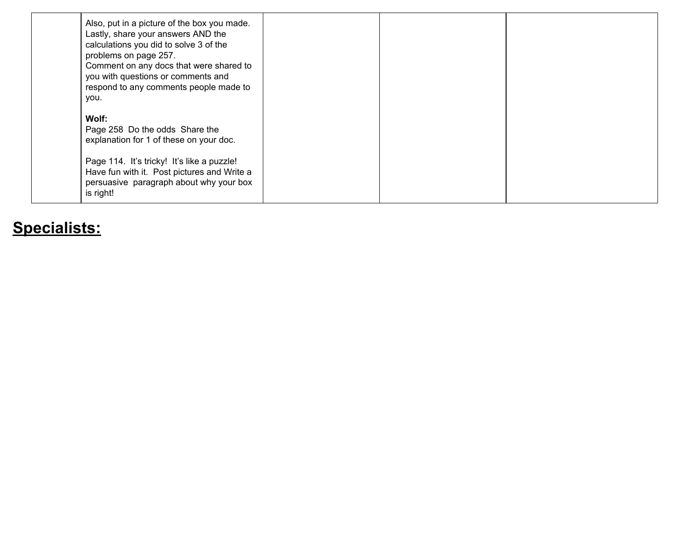| Also, put in a picture of the box you made.<br>Lastly, share your answers AND the<br>calculations you did to solve 3 of the<br>problems on page 257.<br>Comment on any docs that were shared to<br>you with questions or comments and<br>respond to any comments people made to<br>you. |  |  |
|-----------------------------------------------------------------------------------------------------------------------------------------------------------------------------------------------------------------------------------------------------------------------------------------|--|--|
| Wolf:<br>Page 258 Do the odds Share the<br>explanation for 1 of these on your doc.<br>Page 114. It's tricky! It's like a puzzle!<br>Have fun with it. Post pictures and Write a<br>persuasive paragraph about why your box<br>is right!                                                 |  |  |

## **Specialists:**